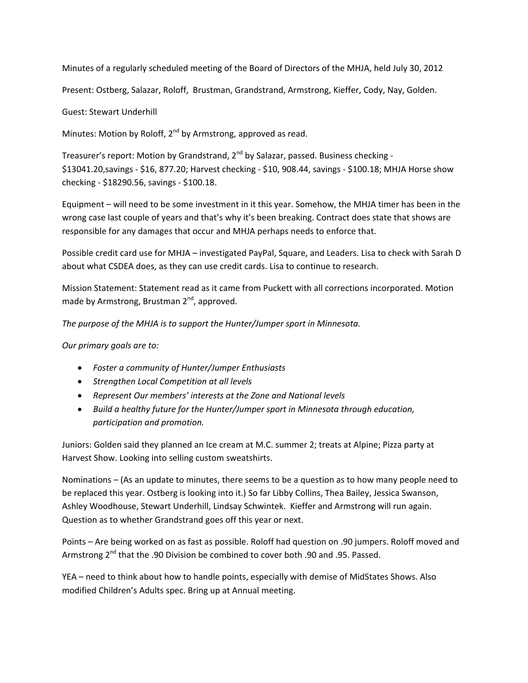Minutes of a regularly scheduled meeting of the Board of Directors of the MHJA, held July 30, 2012

Present: Ostberg, Salazar, Roloff, Brustman, Grandstrand, Armstrong, Kieffer, Cody, Nay, Golden.

Guest: Stewart Underhill

Minutes: Motion by Roloff,  $2^{nd}$  by Armstrong, approved as read.

Treasurer's report: Motion by Grandstrand,  $2^{nd}$  by Salazar, passed. Business checking -\$13041.20,savings ‐ \$16, 877.20; Harvest checking ‐ \$10, 908.44, savings ‐ \$100.18; MHJA Horse show checking ‐ \$18290.56, savings ‐ \$100.18.

Equipment – will need to be some investment in it this year. Somehow, the MHJA timer has been in the wrong case last couple of years and that's why it's been breaking. Contract does state that shows are responsible for any damages that occur and MHJA perhaps needs to enforce that.

Possible credit card use for MHJA – investigated PayPal, Square, and Leaders. Lisa to check with Sarah D about what CSDEA does, as they can use credit cards. Lisa to continue to research.

Mission Statement: Statement read as it came from Puckett with all corrections incorporated. Motion made by Armstrong, Brustman  $2<sup>nd</sup>$ , approved.

*The purpose of the MHJA is to support the Hunter/Jumper sport in Minnesota.*

*Our primary goals are to:*

- *Foster a community of Hunter/Jumper Enthusiasts*
- *Strengthen Local Competition at all levels*
- *Represent Our members' interests at the Zone and National levels*
- *Build a healthy future for the Hunter/Jumper sport in Minnesota through education, participation and promotion.*

Juniors: Golden said they planned an Ice cream at M.C. summer 2; treats at Alpine; Pizza party at Harvest Show. Looking into selling custom sweatshirts.

Nominations – (As an update to minutes, there seems to be a question as to how many people need to be replaced this year. Ostberg is looking into it.) So far Libby Collins, Thea Bailey, Jessica Swanson, Ashley Woodhouse, Stewart Underhill, Lindsay Schwintek. Kieffer and Armstrong will run again. Question as to whether Grandstrand goes off this year or next.

Points – Are being worked on as fast as possible. Roloff had question on .90 jumpers. Roloff moved and Armstrong  $2^{nd}$  that the .90 Division be combined to cover both .90 and .95. Passed.

YEA – need to think about how to handle points, especially with demise of MidStates Shows. Also modified Children's Adults spec. Bring up at Annual meeting.